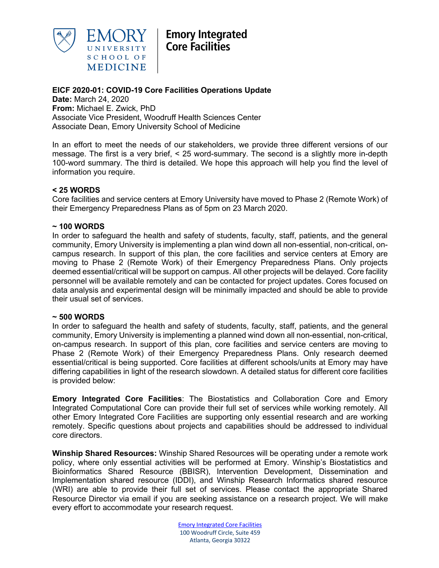

## **EICF 2020-01: COVID-19 Core Facilities Operations Update**

**Date:** March 24, 2020 **From:** Michael E. Zwick, PhD Associate Vice President, Woodruff Health Sciences Center Associate Dean, Emory University School of Medicine

In an effort to meet the needs of our stakeholders, we provide three different versions of our message. The first is a very brief, < 25 word-summary. The second is a slightly more in-depth 100-word summary. The third is detailed. We hope this approach will help you find the level of information you require.

### **< 25 WORDS**

Core facilities and service centers at Emory University have moved to Phase 2 (Remote Work) of their Emergency Preparedness Plans as of 5pm on 23 March 2020.

### **~ 100 WORDS**

In order to safeguard the health and safety of students, faculty, staff, patients, and the general community, Emory University is implementing a plan wind down all non-essential, non-critical, oncampus research. In support of this plan, the core facilities and service centers at Emory are moving to Phase 2 (Remote Work) of their Emergency Preparedness Plans. Only projects deemed essential/critical will be support on campus. All other projects will be delayed. Core facility personnel will be available remotely and can be contacted for project updates. Cores focused on data analysis and experimental design will be minimally impacted and should be able to provide their usual set of services.

#### **~ 500 WORDS**

In order to safeguard the health and safety of students, faculty, staff, patients, and the general community, Emory University is implementing a planned wind down all non-essential, non-critical, on-campus research. In support of this plan, core facilities and service centers are moving to Phase 2 (Remote Work) of their Emergency Preparedness Plans. Only research deemed essential/critical is being supported. Core facilities at different schools/units at Emory may have differing capabilities in light of the research slowdown. A detailed status for different core facilities is provided below:

**Emory Integrated Core Facilities**: The Biostatistics and Collaboration Core and Emory Integrated Computational Core can provide their full set of services while working remotely. All other Emory Integrated Core Facilities are supporting only essential research and are working remotely. Specific questions about projects and capabilities should be addressed to individual core directors.

**Winship Shared Resources:** Winship Shared Resources will be operating under a remote work policy, where only essential activities will be performed at Emory. Winship's Biostatistics and Bioinformatics Shared Resource (BBISR), Intervention Development, Dissemination and Implementation shared resource (IDDI), and Winship Research Informatics shared resource (WRI) are able to provide their full set of services. Please contact the appropriate Shared Resource Director via email if you are seeking assistance on a research project. We will make every effort to accommodate your research request.

> Emory Integrated Core Facilities 100 Woodruff Circle, Suite 459 Atlanta, Georgia 30322